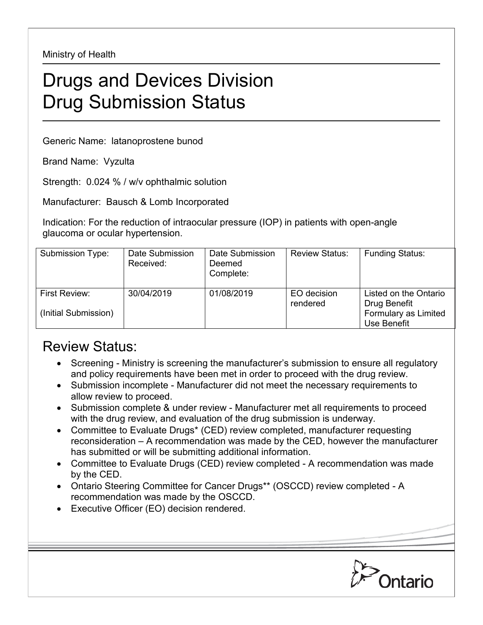Ministry of Health

## Drugs and Devices Division Drug Submission Status

Generic Name: latanoprostene bunod

Brand Name: Vyzulta

Strength: 0.024 % / w/v ophthalmic solution

Manufacturer: Bausch & Lomb Incorporated

Indication: For the reduction of intraocular pressure (IOP) in patients with open-angle glaucoma or ocular hypertension.

| Submission Type:                      | Date Submission<br>Received: | Date Submission<br>Deemed<br>Complete: | <b>Review Status:</b>   | <b>Funding Status:</b>                                                       |
|---------------------------------------|------------------------------|----------------------------------------|-------------------------|------------------------------------------------------------------------------|
| First Review:<br>(Initial Submission) | 30/04/2019                   | 01/08/2019                             | EO decision<br>rendered | Listed on the Ontario<br>Drug Benefit<br>Formulary as Limited<br>Use Benefit |

## Review Status:

- Screening Ministry is screening the manufacturer's submission to ensure all regulatory and policy requirements have been met in order to proceed with the drug review.
- Submission incomplete Manufacturer did not meet the necessary requirements to allow review to proceed.
- Submission complete & under review Manufacturer met all requirements to proceed with the drug review, and evaluation of the drug submission is underway.
- Committee to Evaluate Drugs\* (CED) review completed, manufacturer requesting reconsideration – A recommendation was made by the CED, however the manufacturer has submitted or will be submitting additional information.
- Committee to Evaluate Drugs (CED) review completed A recommendation was made by the CED.
- Ontario Steering Committee for Cancer Drugs\*\* (OSCCD) review completed A recommendation was made by the OSCCD.
- Executive Officer (EO) decision rendered.